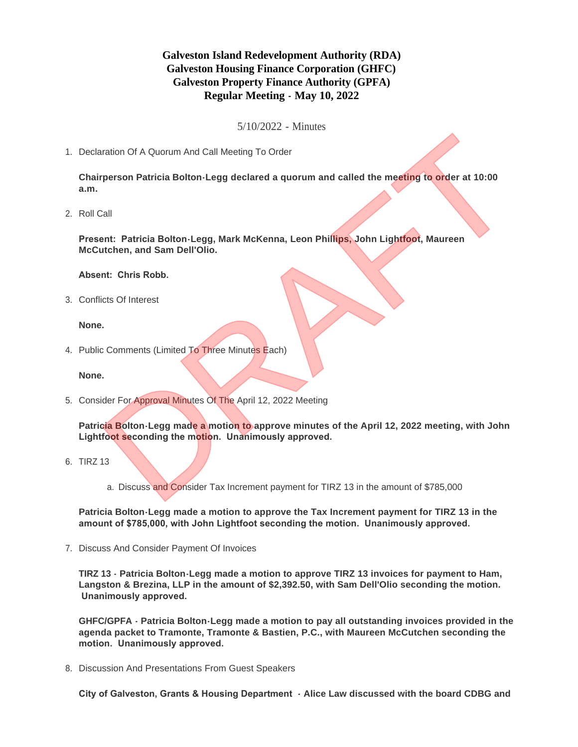## **Galveston Island Redevelopment Authority (RDA) Galveston Housing Finance Corporation (GHFC) Galveston Property Finance Authority (GPFA) Regular Meeting - May 10, 2022**

5/10/2022 - Minutes

1. Declaration Of A Quorum And Call Meeting To Order

**Chairperson Patricia Bolton-Legg declared a quorum and called the meeting to order at 10:00 a.m.**

2. Roll Call

**Present: Patricia Bolton-Legg, Mark McKenna, Leon Phillips, John Lightfoot, Maureen McCutchen, and Sam Dell'Olio.**

**Absent: Chris Robb.**

Conflicts Of Interest 3.

**None.**

4. Public Comments (Limited To Three Minutes Each)

**None.**

5. Consider For Approval Minutes Of The April 12, 2022 Meeting

**Patricia Bolton-Legg made a motion to approve minutes of the April 12, 2022 meeting, with John Lightfoot seconding the motion. Unanimously approved.** entation Of A Quorum And Call Meeting To Order<br>
Dentation and Call Meeting To Order<br>
Dall<br>
Call<br>
Call<br>
Call<br>
Call<br>
Call<br>
Call<br>
Call<br>
Call<br>
Call<br>
Call<br>
Call<br>
Call<br>
Call<br>
Call<br>
Call<br>
Call<br>
Call<br>
Call<br>
Call<br>
Call<br>
Call<br>
Call<br>

6. TIRZ 13

a. Discuss and Consider Tax Increment payment for TIRZ 13 in the amount of \$785,000

**Patricia Bolton-Legg made a motion to approve the Tax Increment payment for TIRZ 13 in the amount of \$785,000, with John Lightfoot seconding the motion. Unanimously approved.**

7. Discuss And Consider Payment Of Invoices

**TIRZ 13 - Patricia Bolton-Legg made a motion to approve TIRZ 13 invoices for payment to Ham, Langston & Brezina, LLP in the amount of \$2,392.50, with Sam Dell'Olio seconding the motion. Unanimously approved.**

**GHFC/GPFA - Patricia Bolton-Legg made a motion to pay all outstanding invoices provided in the agenda packet to Tramonte, Tramonte & Bastien, P.C., with Maureen McCutchen seconding the motion. Unanimously approved.**

8. Discussion And Presentations From Guest Speakers

**City of Galveston, Grants & Housing Department - Alice Law discussed with the board CDBG and**